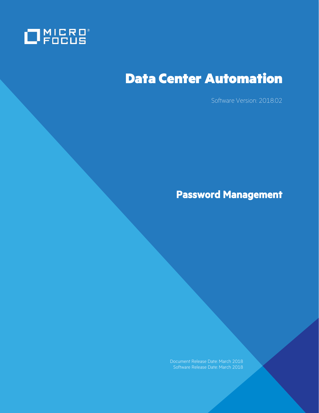

# Data Center Automation

Software Version: 2018.02

**Password Management**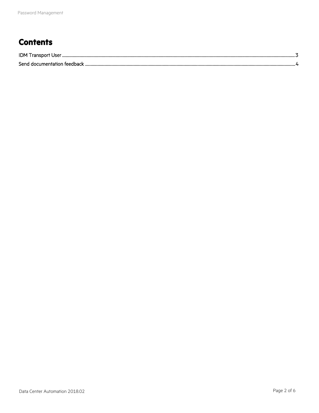## **Contents**

| Send documentation feedback |  |
|-----------------------------|--|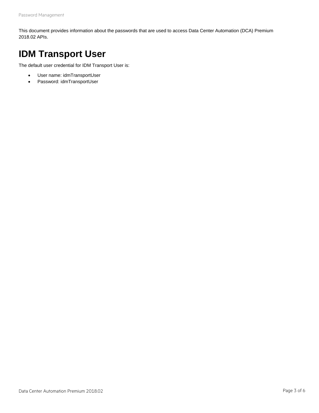This document provides information about the passwords that are used to access Data Center Automation (DCA) Premium 2018.02 APIs.

## <span id="page-2-0"></span>**IDM Transport User**

The default user credential for IDM Transport User is:

- User name: idmTransportUser
- Password: idmTransportUser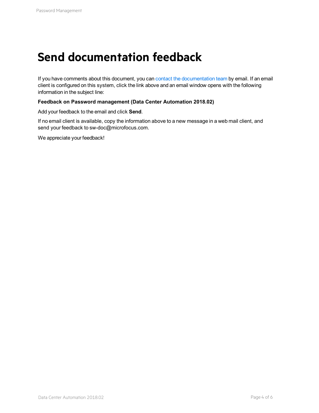# <span id="page-3-0"></span>**Send documentation feedback**

If you have comments about this document, you can [contact the documentation team](mailto:sw-doc@microfocus.com?subject=Feedback on Password Management (Data Center Automation 2018.02)) by email. If an email client is configured on this system, click the link above and an email window opens with the following information in the subject line:

#### **Feedback on Password management (Data Center Automation 2018.02)**

Add your feedback to the email and click **Send**.

If no email client is available, copy the information above to a new message in a web mail client, and send your feedback to sw-doc@microfocus.com.

We appreciate your feedback!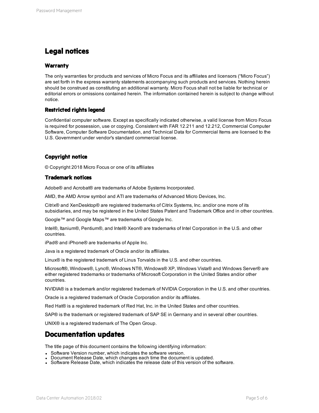### **Legal notices**

#### **Warranty**

The only warranties for products and services of Micro Focus and its affiliates and licensors ("Micro Focus") are set forth in the express warranty statements accompanying such products and services. Nothing herein should be construed as constituting an additional warranty. Micro Focus shall not be liable for technical or editorial errors or omissions contained herein. The information contained herein is subject to change without notice.

#### **Restricted rights legend**

Confidential computer software. Except as specifically indicated otherwise, a valid license from Micro Focus is required for possession, use or copying. Consistent with FAR 12.211 and 12.212, Commercial Computer Software, Computer Software Documentation, and Technical Data for Commercial Items are licensed to the U.S. Government under vendor's standard commercial license.

#### **Copyright notice**

© Copyright 2018 Micro Focus or one of its affiliates

#### **Trademark notices**

Adobe® and Acrobat® are trademarks of Adobe Systems Incorporated.

AMD, the AMD Arrow symbol and ATI are trademarks of Advanced Micro Devices, Inc.

Citrix® and XenDesktop® are registered trademarks of Citrix Systems, Inc. and/or one more of its subsidiaries, and may be registered in the United States Patent and Trademark Office and in other countries.

Google™ and Google Maps™ are trademarks of Google Inc.

Intel®, Itanium®, Pentium®, and Intel® Xeon® are trademarks of Intel Corporation in the U.S. and other countries.

iPad® and iPhone® are trademarks of Apple Inc.

Java is a registered trademark of Oracle and/or its affiliates.

Linux® is the registered trademark of Linus Torvalds in the U.S. and other countries.

Microsoft®, Windows®, Lync®, Windows NT®, Windows® XP, Windows Vista® and Windows Server® are either registered trademarks or trademarks of Microsoft Corporation in the United States and/or other countries.

NVIDIA® is a trademark and/or registered trademark of NVIDIA Corporation in the U.S. and other countries.

Oracle is a registered trademark of Oracle Corporation and/or its affiliates.

Red Hat® is a registered trademark of Red Hat, Inc. in the United States and other countries.

SAP® is the trademark or registered trademark of SAP SE in Germany and in several other countries.

UNIX® is a registered trademark of The Open Group.

#### **Documentation updates**

The title page of this document contains the following identifying information:

- Software Version number, which indicates the software version.
- Document Release Date, which changes each time the document is updated.
- Software Release Date, which indicates the release date of this version of the software.